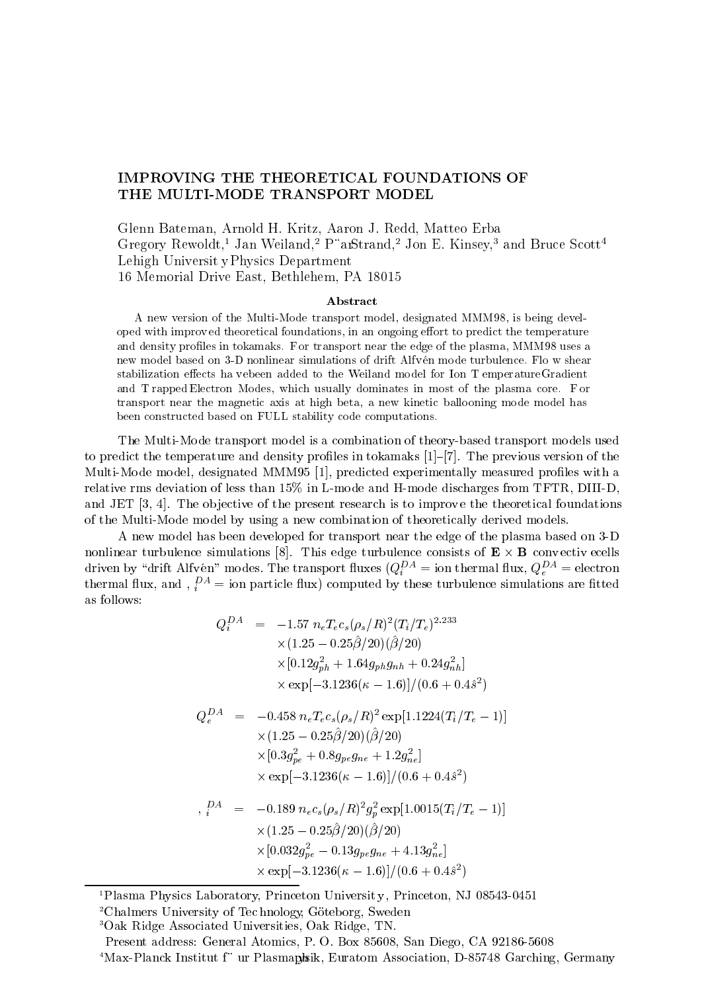## IMPROVING THE THEORETICAL FOUNDATIONS OF

Glenn Bateman, Arnold H. Kritz, Aaron J. Redd, Matteo Erba Gregory Rewoldt,<sup>1</sup> Jan Weiland,<sup>2</sup> P"arStrand,<sup>2</sup> Jon E. Kinsey,<sup>3</sup> and Bruce Scott<sup>4</sup> Lehigh Universit yPhysics Department 16 Memorial Drive East, Bethlehem, PA 18015

## Abstract

A new version of the Multi-Mode transport model, designated MMM98, is being developed with improved theoretical foundations, in an ongoing effort to predict the temperature and density profiles in tokamaks. For transport near the edge of the plasma, MMM98 uses a new model based on 3-D nonlinear simulations of drift Alfven mode turbulence. Flo w shear stabilization effects ha v ebeen added to the Weiland model for Ion T emperature Gradient and T rapped Electron Modes, which usually dominates in most of the plasma core. F or transport near the magnetic axis at high beta, a new kinetic ballooning mode model has been constructed based on FULL stability code computations.

The Multi-Mode transport model is a combination of theory-based transport models used to predict the temperature and density profiles in tokamaks  $[1]-[7]$ . The previous version of the Multi-Mode model, designated MMM95 [1], predicted experimentally measured profiles with a relative rms deviation of less than 15% in L-mode and H-mode discharges from TFTR, DIII-D, and JET  $[3, 4]$ . The objective of the present research is to improve the theoretical foundations of the Multi-Mode model by using a new combination of theoretically derived models.

A new model has been developed for transport near the edge of the plasma based on 3-D nonlinear turbulence simulations  $\mathbf{B}$ . This equations of  $\mathbf{B}$ driven by  $\alpha$ rift Alfven "modes. The transport huxes  $(Q_i \equiv$  ion thermal hux,  $Q_e \equiv$  electro  $e = e$ thermal flux, and  $\lambda_i = 0$  is particle flux) computed by these turbulence simulations are fitted as follows:

$$
Q_i^{DA} = -1.57 n_e T_e c_s (\rho_s / R)^2 (T_i / T_e)^{2.233}
$$
  
\n
$$
\times (1.25 - 0.25 \hat{\beta} / 20) (\hat{\beta} / 20)
$$
  
\n
$$
\times [0.12 g_{ph}^2 + 1.64 g_{ph} g_{nh} + 0.24 g_{nh}^2]
$$
  
\n
$$
\times \exp[-3.1236(\kappa - 1.6)] / (0.6 + 0.4 \hat{s}^2)
$$
  
\n
$$
Q_e^{DA} = -0.458 n_e T_e c_s (\rho_s / R)^2 \exp[1.1224 (T_i / T_e - 1)]
$$

$$
\times (1.25 - 0.25\hat{\beta}/20)(\hat{\beta}/20) \times [0.3g_{pe}^2 + 0.8g_{pe}g_{ne} + 1.2g_{ne}^2] \times \exp[-3.1236(\kappa - 1.6)]/(0.6 + 0.4\hat{s}^2)
$$

$$
P_A^{DA} = -0.189 n_e c_s (\rho_s/R)^2 g_p^2 \exp[1.0015(T_i/T_e - 1)]
$$
  
×(1.25 - 0.25 $\hat{\beta}$ /20)( $\hat{\beta}$ /20)  
×[0.032 $g_{pe}^2$  - 0.13 $g_{pe}g_{ne}$  + 4.13 $g_{ne}^2$ ]  
× exp[-3.1236( $\kappa$  - 1.6)]/(0.6 + 0.4 $\hat{s}^2$ )

<sup>1</sup>Plasma Physics Laboratory, Princeton University, Princeton, NJ 08543-0451

<sup>2</sup>Chalmers University of Technology, Göteborg, Sweden

3Oak Ridge Associated Universities, Oak Ridge, TN.

Present address: General Atomics, P. O. Box 85608, San Diego, CA 92186-5608

<sup>4</sup>Max-Planck Institut f" ur Plasmaphik, Euratom Association, D-85748 Garching, Germany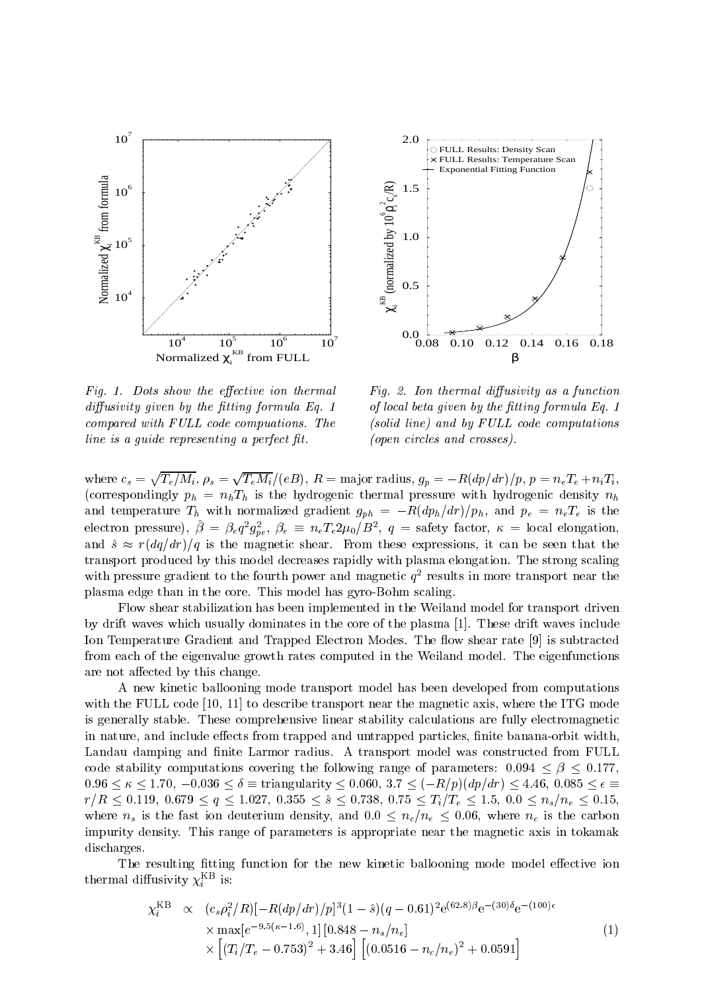

Fig. 1. Dots show the effective ion thermal  $diffusivity$  given by the fitting formula Eq. 1 compared with FULL code compuations. The  $line is a guide representing a perfect fit.$ 



Fig. 2. Ion thermal diffusivity as a function of local beta given by the fitting formula  $Eq. 1$ (solid line) and by FULL code computations (open circles and crosses).

where  $c_s = \sqrt{T_e/M_i}$ ,  $\rho_s = \sqrt{T_e M_i}/(eB)$ ,  $R =$  major radius,  $g_p = -R(dp/dr)/p$ ,  $p = n_eT_e + n_iT_i$ , (correspondingly  $p_h = n_h T_h$  is the hydrogenic thermal pressure with hydrogenic density  $n_h$ and temperature  $T_h$  with normalized gradient  $g_{ph} = -R(dp_h/dr)/p_h$ , and  $p_e = n_eT_e$  is the electron pressure),  $\rho = \rho_e q \; g_{pe}, \; \rho_e = n_e I_e Z \mu_0 / D$  ,  $q =$  safety factor,  $\kappa =$  local elongation, and  $\hat{s} \approx r(dq/dr)/q$  is the magnetic shear. From these expressions, it can be seen that the transport produced by this model decreases rapidly with plasma elongation. The strong scaling with pressure gradient to the fourth power and magnetic  $q$  -results in more transport near the plasma edge than in the core. This model has gyro-Bohm scaling.

Flow shear stabilization has been implemented in the Weiland model for transport driven by drift waves which usually dominates in the core of the plasma [1]. These drift waves include Ion Temperature Gradient and Trapped Electron Modes. The flow shear rate [9] is subtracted from each of the eigenvalue growth rates computed in the Weiland model. The eigenfunctions are not affected by this change.

A new kinetic ballooning mode transport model has been developed from computations with the FULL code [10, 11] to describe transport near the magnetic axis, where the ITG mode is generally stable. These comprehensive linear stability calculations are fully electromagnetic in nature, and include effects from trapped and untrapped particles, finite banana-orbit width, Landau damping and finite Larmor radius. A transport model was constructed from FULL code stability computations covering the following range of parameters:  $0.094 \leq \beta \leq 0.177$ ,  $0.96 \le \kappa \le 1.70, -0.036 \le \delta \equiv$  triangularity  $\le 0.060, 3.7 \le (-R/p)(dp/dr) \le 4.46, 0.085 \le \epsilon \equiv$  $r$  , the result of  $r$  ,  $\alpha$  ,  $\alpha$  is the result of  $\alpha$  is the solution of  $\alpha$  . The set of  $\alpha$  is the set of  $\alpha$  is the set of  $\alpha$  is the set of  $\alpha$  is the set of  $\alpha$  is the set of  $\alpha$  is the set of  $\alpha$ where  $n_s$  is the fast ion deuterium density, and  $0.0 \leq n_c/n_e \leq 0.06$ , where  $n_c$  is the carbon impurity density. This range of parameters is appropriate near the magnetic axis in tokamak discharges.

The resulting fitting function for the new kinetic ballooning mode model effective ion thermal dimusivity  $\chi_i$  is:

$$
\chi_i^{\text{KB}} \propto (c_s \rho_i^2/R)[-R(dp/dr)/p]^3 (1-\hat{s})(q-0.61)^2 e^{(62.8)\beta} e^{-(30)\delta} e^{-(100)\epsilon} \times \max[e^{-9.5(\kappa-1.6)}, 1] [0.848 - n_s/n_e] \times [(T_i/T_e - 0.753)^2 + 3.46] [(0.0516 - n_c/n_e)^2 + 0.0591]
$$
\n(1)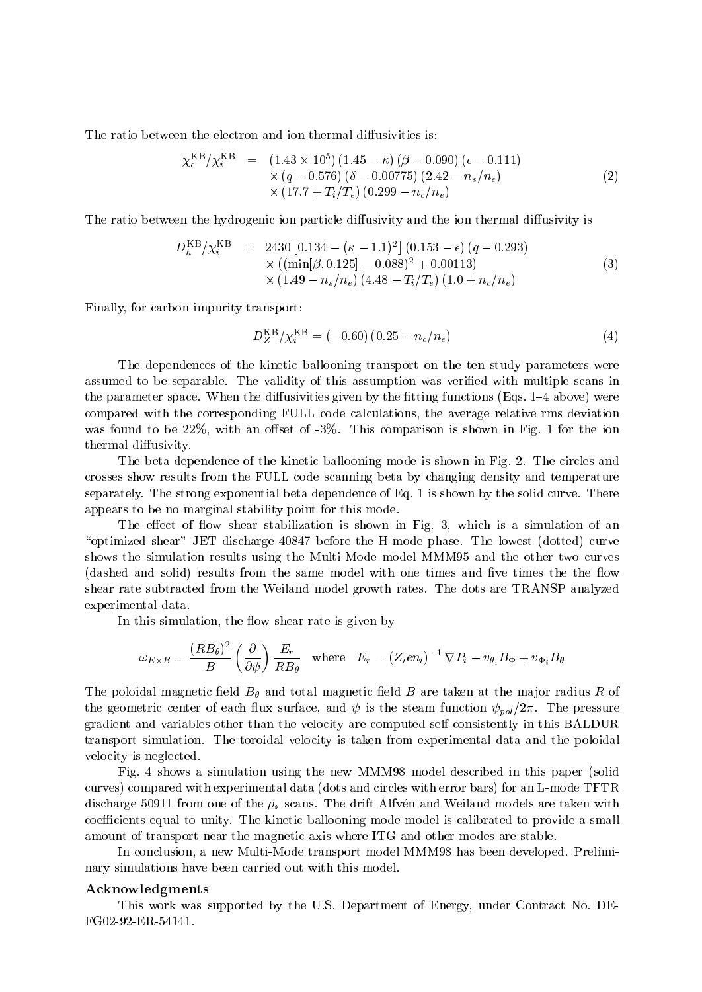The ratio between the electron and ion thermal diffusivities is:

$$
\chi_e^{\text{KB}}/\chi_i^{\text{KB}} = (1.43 \times 10^5) (1.45 - \kappa) (\beta - 0.090) (\epsilon - 0.111) \times (q - 0.576) (\delta - 0.00775) (2.42 - n_s/n_e) \times (17.7 + T_i/T_e) (0.299 - n_c/n_e)
$$
\n(2)

The ratio between the hydrogenic ion particle diffusivity and the ion thermal diffusivity is

$$
D_h^{\text{KB}}/\chi_i^{\text{KB}} = 2430 [0.134 - (\kappa - 1.1)^2] (0.153 - \epsilon) (q - 0.293)
$$
  
× ((min[ $\beta$ , 0.125] - 0.088)<sup>2</sup> + 0.00113)  
× (1.49 -  $n_s/n_e$ ) (4.48 -  $T_i/T_e$ ) (1.0 +  $n_c/n_e$ ) (3)

Finally, for carbon impurity transport:

$$
D_Z^{\rm KB} / \chi_i^{\rm KB} = (-0.60) (0.25 - n_c/n_e)
$$
 (4)

The dependences of the kinetic ballooning transport on the ten study parameters were assumed to be separable. The validity of this assumption was veried with multiple scans in the parameter space. When the diffusivities given by the fitting functions (Eqs.  $1-4$  above) were compared with the corresponding FULL code calculations, the average relative rms deviation was found to be  $22\%$ , with an offset of  $-3\%$ . This comparison is shown in Fig. 1 for the ion thermal diffusivity.

The beta dependence of the kinetic ballooning mode is shown in Fig. 2. The circles and crosses show results from the FULL code scanning beta by changing density and temperature separately. The strong exponential beta dependence of Eq. 1 is shown by the solid curve. There appears to be no marginal stability point for this mode.

The effect of flow shear stabilization is shown in Fig. 3, which is a simulation of an " $optimized shear$ " JET discharge 40847 before the H-mode phase. The lowest (dotted) curve shows the simulation results using the Multi-Mode model MMM95 and the other two curves (dashed and solid) results from the same model with one times and five times the the flow shear rate subtracted from the Weiland model growth rates. The dots are TRANSP analyzed experimental data.

In this simulation, the flow shear rate is given by

$$
\omega_{E\times B} = \frac{(RB_{\theta})^2}{B} \left(\frac{\partial}{\partial \psi}\right) \frac{E_r}{RB_{\theta}} \quad \text{where} \quad E_r = (Z_i e n_i)^{-1} \nabla P_i - v_{\theta_i} B_{\Phi} + v_{\Phi_i} B_{\theta}
$$

The poloidal magnetic field  $B_{\theta}$  and total magnetic field B are taken at the major radius R of the geometric center of each flux surface, and  $\psi$  is the steam function  $\psi_{pol}/2\pi$ . The pressure gradient and variables other than the velocity are computed self-consistently in this BALDUR transport simulation. The toroidal velocity is taken from experimental data and the poloidal velocity is neglected.

Fig. 4 shows a simulation using the new MMM98 model described in this paper (solid curves) compared with experimental data (dots and circles with error bars) for an L-mode TFTR discharge 50911 from one of the  $\rho_*$  scans. The drift Alfven and Weiland models are taken with coefficients equal to unity. The kinetic ballooning mode model is calibrated to provide a small amount of transport near the magnetic axis where ITG and other modes are stable.

In conclusion, a new Multi-Mode transport model MMM98 has been developed. Preliminary simulations have been carried out with this model.

## Acknowledgments

This work was supported by the U.S. Department of Energy, under Contract No. DE-FG02-92-ER-54141.